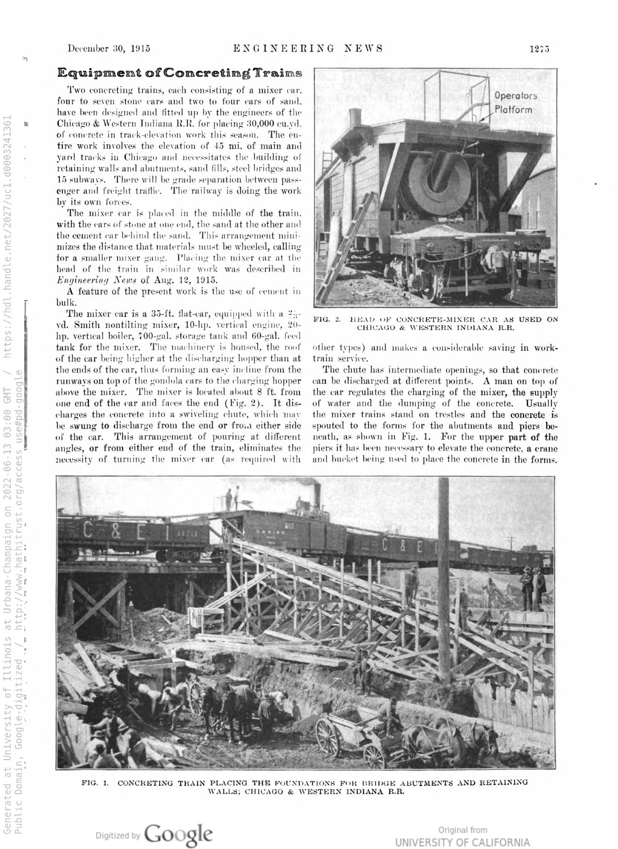º

ti,

### Equipment of Concreting Trains

Two concreting trains, each consisting of <sup>a</sup> mixer car. four to seven stone cars and two to four cars of sand, have been designed and fitted up by the engineers of the Chicago & Western Indiana R.R. for placing 30,000 cu.yd. of concrete in track-elevation work this season. The en tire work involves the elevation of 45 mi. of main and yard tracks in Chicago and necessitates the building of retaining walls and abutments, sand fills, steel bridges and 15 subways. There will be grade separation between pass enger and freight traffic. The railway is doing the work by its own forces

The mixer car is placed in the middle of the train  $\bm{\mathrm{with}}$  the cars of stone at one end, the sand at the other and the cement car behind the sand. This arrangement mini  ${\rm mizes}$  the distance that materials  ${\rm must}$  be wheeled, calling for <sup>a</sup> smaller mixer gang. I'lacing the mixer car at the head of the train in similar work was described in Engineering News of Aug. 12, 1915.

A feature of the present work is the use of cement in bulk.

The mixer car is a 35-ft. flat-car, equipped with a  $\frac{2\pi}{3}$ . vd. Smith nontilting mixer, 10-hp. vertical engine, 20 hp. vertical boiler, 700-gal. storage tank and 60-gal. feed tank for the mixer. The machinery is housed, the roof of the car being higher at the discharging hopper than at the ends of the car, thus forming an easy incline from the runways ontop of the gondola cars to the charging hopper above the mixer. The mixer is located about <sup>8</sup> ft. from one end of the car and faces the end  $(Fig. 2)$ . It discharges the concrete into <sup>a</sup> swiveling chute, which may be swung to discharge from the end or from either side of the car. This arrangement of pouring at different angles, or from either end of the train, eliminates the necessity of turning the mixer car (as required with



FIG. 2. HEAD OF CONCRETE-MIXER CAR AS USED ON CHICAGO & WESTERN INDIANA R.R.

other types) and makes <sup>a</sup> considerable saving in work train service.

The chute has intermediate openings, so that concret can be discharged at different points. <sup>A</sup>man on top of the car regulates the charging of the mixer, the supply of water and the dumping of the concrete. Usually the mixer trains stand on trestles and the concrete is spouted to the forms for the abutments and piers beneath, as shown in Fig. 1. For the upper part of the piers it has been necessary to elevate the concrete, <sup>a</sup> crane and bucket being used to place the concrete in the forms.



FIG. 1. CONCRETING TRAIN PLACING THE FOUNDATIONS FOR BRIDGE ABUTMENTS AND RETAININ WALLS; CHICAGO & WESTERN INDIANA R.R.